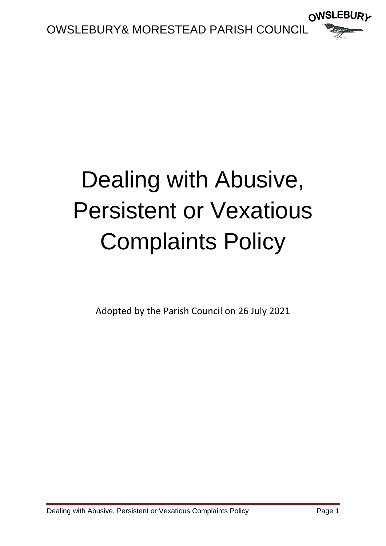

# Dealing with Abusive, Persistent or Vexatious Complaints Policy

Adopted by the Parish Council on 26 July 2021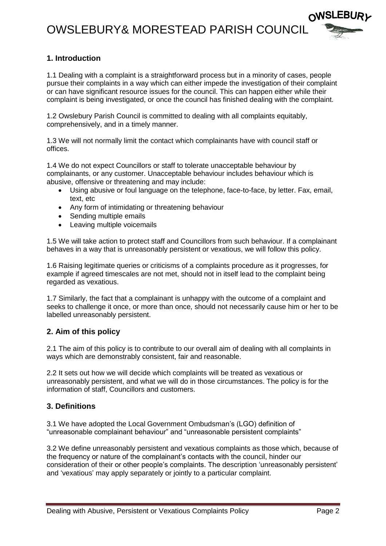### OWSLEBURY& MORESTEAD PARISH COUNCIL



### **1. Introduction**

1.1 Dealing with a complaint is a straightforward process but in a minority of cases, people pursue their complaints in a way which can either impede the investigation of their complaint or can have significant resource issues for the council. This can happen either while their complaint is being investigated, or once the council has finished dealing with the complaint.

1.2 Owslebury Parish Council is committed to dealing with all complaints equitably, comprehensively, and in a timely manner.

1.3 We will not normally limit the contact which complainants have with council staff or offices.

1.4 We do not expect Councillors or staff to tolerate unacceptable behaviour by complainants, or any customer. Unacceptable behaviour includes behaviour which is abusive, offensive or threatening and may include:

- Using abusive or foul language on the telephone, face-to-face, by letter. Fax, email, text, etc
- Any form of intimidating or threatening behaviour
- Sending multiple emails
- Leaving multiple voicemails

1.5 We will take action to protect staff and Councillors from such behaviour. If a complainant behaves in a way that is unreasonably persistent or vexatious, we will follow this policy.

1.6 Raising legitimate queries or criticisms of a complaints procedure as it progresses, for example if agreed timescales are not met, should not in itself lead to the complaint being regarded as vexatious.

1.7 Similarly, the fact that a complainant is unhappy with the outcome of a complaint and seeks to challenge it once, or more than once, should not necessarily cause him or her to be labelled unreasonably persistent.

#### **2. Aim of this policy**

2.1 The aim of this policy is to contribute to our overall aim of dealing with all complaints in ways which are demonstrably consistent, fair and reasonable.

2.2 It sets out how we will decide which complaints will be treated as vexatious or unreasonably persistent, and what we will do in those circumstances. The policy is for the information of staff, Councillors and customers.

#### **3. Definitions**

3.1 We have adopted the Local Government Ombudsman's (LGO) definition of "unreasonable complainant behaviour" and "unreasonable persistent complaints"

3.2 We define unreasonably persistent and vexatious complaints as those which, because of the frequency or nature of the complainant's contacts with the council, hinder our consideration of their or other people's complaints. The description 'unreasonably persistent' and 'vexatious' may apply separately or jointly to a particular complaint.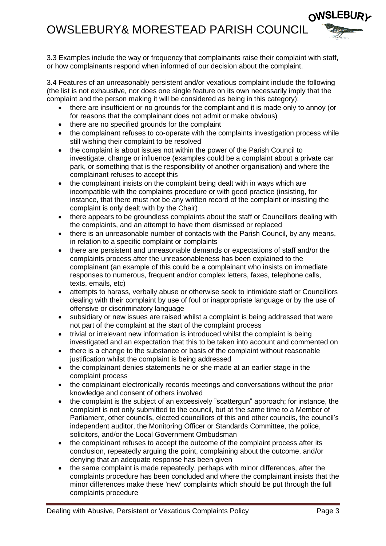### OWSLEBURY& MORESTEAD PARISH COUNCIL



3.4 Features of an unreasonably persistent and/or vexatious complaint include the following (the list is not exhaustive, nor does one single feature on its own necessarily imply that the complaint and the person making it will be considered as being in this category):

- there are insufficient or no grounds for the complaint and it is made only to annoy (or for reasons that the complainant does not admit or make obvious)
- there are no specified grounds for the complaint
- the complainant refuses to co-operate with the complaints investigation process while still wishing their complaint to be resolved
- the complaint is about issues not within the power of the Parish Council to investigate, change or influence (examples could be a complaint about a private car park, or something that is the responsibility of another organisation) and where the complainant refuses to accept this
- the complainant insists on the complaint being dealt with in ways which are incompatible with the complaints procedure or with good practice (insisting, for instance, that there must not be any written record of the complaint or insisting the complaint is only dealt with by the Chair)
- there appears to be groundless complaints about the staff or Councillors dealing with the complaints, and an attempt to have them dismissed or replaced
- there is an unreasonable number of contacts with the Parish Council, by any means, in relation to a specific complaint or complaints
- there are persistent and unreasonable demands or expectations of staff and/or the complaints process after the unreasonableness has been explained to the complainant (an example of this could be a complainant who insists on immediate responses to numerous, frequent and/or complex letters, faxes, telephone calls, texts, emails, etc)
- attempts to harass, verbally abuse or otherwise seek to intimidate staff or Councillors dealing with their complaint by use of foul or inappropriate language or by the use of offensive or discriminatory language
- subsidiary or new issues are raised whilst a complaint is being addressed that were not part of the complaint at the start of the complaint process
- trivial or irrelevant new information is introduced whilst the complaint is being investigated and an expectation that this to be taken into account and commented on
- there is a change to the substance or basis of the complaint without reasonable justification whilst the complaint is being addressed
- the complainant denies statements he or she made at an earlier stage in the complaint process
- the complainant electronically records meetings and conversations without the prior knowledge and consent of others involved
- the complaint is the subject of an excessively "scattergun" approach; for instance, the complaint is not only submitted to the council, but at the same time to a Member of Parliament, other councils, elected councillors of this and other councils, the council's independent auditor, the Monitoring Officer or Standards Committee, the police, solicitors, and/or the Local Government Ombudsman
- the complainant refuses to accept the outcome of the complaint process after its conclusion, repeatedly arguing the point, complaining about the outcome, and/or denying that an adequate response has been given
- the same complaint is made repeatedly, perhaps with minor differences, after the complaints procedure has been concluded and where the complainant insists that the minor differences make these 'new' complaints which should be put through the full complaints procedure

**OWSLEBURL**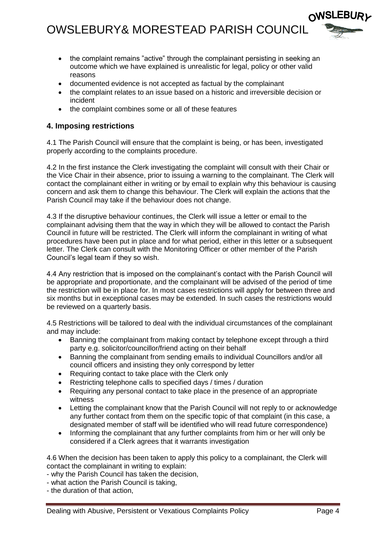

- the complaint remains "active" through the complainant persisting in seeking an outcome which we have explained is unrealistic for legal, policy or other valid reasons
- documented evidence is not accepted as factual by the complainant
- the complaint relates to an issue based on a historic and irreversible decision or incident
- the complaint combines some or all of these features

### **4. Imposing restrictions**

4.1 The Parish Council will ensure that the complaint is being, or has been, investigated properly according to the complaints procedure.

4.2 In the first instance the Clerk investigating the complaint will consult with their Chair or the Vice Chair in their absence, prior to issuing a warning to the complainant. The Clerk will contact the complainant either in writing or by email to explain why this behaviour is causing concern and ask them to change this behaviour. The Clerk will explain the actions that the Parish Council may take if the behaviour does not change.

4.3 If the disruptive behaviour continues, the Clerk will issue a letter or email to the complainant advising them that the way in which they will be allowed to contact the Parish Council in future will be restricted. The Clerk will inform the complainant in writing of what procedures have been put in place and for what period, either in this letter or a subsequent letter. The Clerk can consult with the Monitoring Officer or other member of the Parish Council's legal team if they so wish.

4.4 Any restriction that is imposed on the complainant's contact with the Parish Council will be appropriate and proportionate, and the complainant will be advised of the period of time the restriction will be in place for. In most cases restrictions will apply for between three and six months but in exceptional cases may be extended. In such cases the restrictions would be reviewed on a quarterly basis.

4.5 Restrictions will be tailored to deal with the individual circumstances of the complainant and may include:

- Banning the complainant from making contact by telephone except through a third party e.g. solicitor/councillor/friend acting on their behalf
- Banning the complainant from sending emails to individual Councillors and/or all council officers and insisting they only correspond by letter
- Requiring contact to take place with the Clerk only
- Restricting telephone calls to specified days / times / duration
- Requiring any personal contact to take place in the presence of an appropriate witness
- Letting the complainant know that the Parish Council will not reply to or acknowledge any further contact from them on the specific topic of that complaint (in this case, a designated member of staff will be identified who will read future correspondence)
- Informing the complainant that any further complaints from him or her will only be considered if a Clerk agrees that it warrants investigation

4.6 When the decision has been taken to apply this policy to a complainant, the Clerk will contact the complainant in writing to explain:

- why the Parish Council has taken the decision,
- what action the Parish Council is taking,
- the duration of that action,